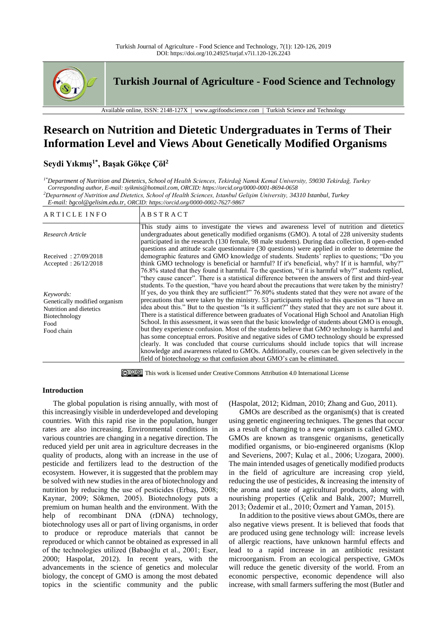

**Turkish Journal of Agriculture - Food Science and Technology**

Available online, ISSN: 2148-127X | www.agrifoodscience.com | Turkish Science and Technology

# **Research on Nutrition and Dietetic Undergraduates in Terms of Their Information Level and Views About Genetically Modified Organisms**

# **Seydi Yıkmış1\*, Başak Gökçe Çöl<sup>2</sup>**

*1\*Department of Nutrition and Dietetics, School of Health Sciences, Tekirdağ Namık Kemal University, 59030 Tekirdağ, Turkey Corresponding author, E-mail: syikmis@hotmail.com, ORCID: https://orcid.org/0000-0001-8694-0658 <sup>2</sup>Department of Nutrition and Dietetics, School of Health Sciences, Istanbul Gelişim University, 34310 Istanbul, Turkey E-mail: bgcol@gelisim.edu.tr, ORCID: https://orcid.org/0000-0002-7627-9867*

ARTICLE INFO ABSTRACT *Research Article*  Received : 27/09/2018 Accepted : 26/12/2018 This study aims to investigate the views and awareness level of nutrition and dietetics undergraduates about genetically modified organisms (GMO). A total of 228 university students participated in the research (130 female, 98 male students). During data collection, 8 open-ended questions and attitude scale questionnaire (30 questions) were applied in order to determine the demographic features and GMO knowledge of students. Students' replies to questions; "Do you think GMO technology is beneficial or harmful? If it's beneficial, why? If it is harmful, why?" 76.8% stated that they found it harmful. To the question, "if it is harmful why?" students replied, "they cause cancer". There is a statistical difference between the answers of first and third-year students. To the question, "have you heard about the precautions that were taken by the ministry? If yes, do you think they are sufficient?" 76.80% students stated that they were not aware of the precautions that were taken by the ministry. 53 participants replied to this question as "I have an idea about this." But to the question "Is it sufficient?" they stated that they are not sure about it. There is a statistical difference between graduates of Vocational High School and Anatolian High School. In this assessment, it was seen that the basic knowledge of students about GMO is enough, but they experience confusion. Most of the students believe that GMO technology is harmful and has some conceptual errors. Positive and negative sides of GMO technology should be expressed clearly. It was concluded that course curriculums should include topics that will increase knowledge and awareness related to GMOs. Additionally, courses can be given selectively in the field of biotechnology so that confusion about GMO's can be eliminated. *Keywords:* Genetically modified organism Nutrition and dietetics Biotechnology Food Food chain

This work is licensed unde[r Creative Commons Attribution 4.0 International License](http://creativecommons.org/licenses/by-nc/4.0/)

### **Introduction**

The global population is rising annually, with most of this increasingly visible in underdeveloped and developing countries. With this rapid rise in the population, hunger rates are also increasing. Environmental conditions in various countries are changing in a negative direction. The reduced yield per unit area in agriculture decreases in the quality of products, along with an increase in the use of pesticide and fertilizers lead to the destruction of the ecosystem. However, it is suggested that the problem may be solved with new studies in the area of biotechnology and nutrition by reducing the use of pesticides (Erbaş, 2008; Kaynar, 2009; Sökmen, 2005). Biotechnology puts a premium on human health and the environment. With the help of recombinant DNA (rDNA) technology, biotechnology uses all or part of living organisms, in order to produce or reproduce materials that cannot be reproduced or which cannot be obtained as expressed in all of the technologies utilized (Babaoğlu et al., 2001; Eser, 2000; Haspolat, 2012). In recent years, with the advancements in the science of genetics and molecular biology, the concept of GMO is among the most debated topics in the scientific community and the public

(Haspolat, 2012; Kidman, 2010; Zhang and Guo, 2011).

GMOs are described as the organism(s) that is created using genetic engineering techniques. The genes that occur as a result of changing to a new organism is called GMO. GMOs are known as transgenic organisms, genetically modified organisms, or bio-engineered organisms (Klop and Severiens, 2007; Kulaç et al., 2006; Uzogara, 2000). The main intended usages of genetically modified products in the field of agriculture are increasing crop yield, reducing the use of pesticides, & increasing the intensity of the aroma and taste of agricultural products, along with nourishing properties (Çelik and Balık, 2007; Murrell, 2013; Özdemir et al., 2010; Özmert and Yaman, 2015).

In addition to the positive views about GMOs, there are also negative views present. It is believed that foods that are produced using gene technology will: increase levels of allergic reactions, have unknown harmful effects and lead to a rapid increase in an antibiotic resistant microorganism. From an ecological perspective, GMOs will reduce the genetic diversity of the world. From an economic perspective, economic dependence will also increase, with small farmers suffering the most (Butler and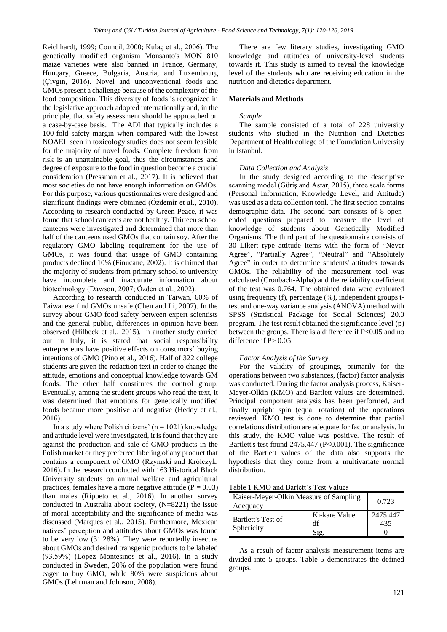Reichhardt, 1999; Council, 2000; Kulaç et al., 2006). The genetically modified organism Monsanto's MON 810 maize varieties were also banned in France, Germany, Hungary, Greece, Bulgaria, Austria, and Luxembourg (Çıvgın, 2016). Novel and unconventional foods and GMOs present a challenge because of the complexity of the food composition. This diversity of foods is recognized in the legislative approach adopted internationally and, in the principle, that safety assessment should be approached on a case-by-case basis. The ADI that typically includes a 100-fold safety margin when compared with the lowest NOAEL seen in toxicology studies does not seem feasible for the majority of novel foods. Complete freedom from risk is an unattainable goal, thus the circumstances and degree of exposure to the food in question become a crucial consideration (Pressman et al., 2017). It is believed that most societies do not have enough information on GMOs. For this purpose, various questionnaires were designed and significant findings were obtained (Özdemir et al., 2010). According to research conducted by Green Peace, it was found that school canteens are not healthy. Thirteen school canteens were investigated and determined that more than half of the canteens used GMOs that contain soy. After the regulatory GMO labeling requirement for the use of GMOs, it was found that usage of GMO containing products declined 10% (Finucane, 2002). It is claimed that the majority of students from primary school to university have incomplete and inaccurate information about biotechnology (Dawson, 2007; Özden et al., 2002).

According to research conducted in Taiwan, 60% of Taiwanese find GMOs unsafe (Chen and Li, 2007). In the survey about GMO food safety between expert scientists and the general public, differences in opinion have been observed (Hilbeck et al., 2015). In another study carried out in Italy, it is stated that social responsibility entrepreneurs have positive effects on consumers' buying intentions of GMO (Pino et al., 2016). Half of 322 college students are given the redaction text in order to change the attitude, emotions and conceptual knowledge towards GM foods. The other half constitutes the control group. Eventually, among the student groups who read the text, it was determined that emotions for genetically modified foods became more positive and negative (Heddy et al., 2016).

In a study where Polish citizens'  $(n = 1021)$  knowledge and attitude level were investigated, it is found that they are against the production and sale of GMO products in the Polish market or they preferred labeling of any product that contains a component of GMO (Rzymski and Królczyk, 2016). In the research conducted with 163 Historical Black University students on animal welfare and agricultural practices, females have a more negative attitude ( $P = 0.03$ ) than males (Rippeto et al., 2016). In another survey conducted in Australia about society, (N=8221) the issue of moral acceptability and the significance of media was discussed (Marques et al., 2015). Furthermore, Mexican natives' perception and attitudes about GMOs was found to be very low (31.28%). They were reportedly insecure about GMOs and desired transgenic products to be labeled (93.59%) (López Montesinos et al., 2016). In a study conducted in Sweden, 20% of the population were found eager to buy GMO, while 80% were suspicious about GMOs (Lehrman and Johnson, 2008).

There are few literary studies, investigating GMO knowledge and attitudes of university-level students towards it. This study is aimed to reveal the knowledge level of the students who are receiving education in the nutrition and dietetics department.

#### **Materials and Methods**

#### *Sample*

The sample consisted of a total of 228 university students who studied in the Nutrition and Dietetics Department of Health college of the Foundation University in Istanbul.

#### *Data Collection and Analysis*

In the study designed according to the descriptive scanning model (Güriş and Astar, 2015), three scale forms (Personal Information, Knowledge Level, and Attitude) was used as a data collection tool. The first section contains demographic data. The second part consists of 8 openended questions prepared to measure the level of knowledge of students about Genetically Modified Organisms. The third part of the questionnaire consists of 30 Likert type attitude items with the form of "Never Agree", "Partially Agree", "Neutral" and "Absolutely Agree" in order to determine students' attitudes towards GMOs. The reliability of the measurement tool was calculated (Cronbach-Alpha) and the reliability coefficient of the test was 0.764. The obtained data were evaluated using frequency (f), percentage (%), independent groups ttest and one-way variance analysis (ANOVA) method with SPSS (Statistical Package for Social Sciences) 20.0 program. The test result obtained the significance level (p) between the groups. There is a difference if P<0.05 and no difference if  $P > 0.05$ .

#### *Factor Analysis of the Survey*

For the validity of groupings, primarily for the operations between two substances, (factor) factor analysis was conducted. During the factor analysis process, Kaiser-Meyer-Olkin (KMO) and Bartlett values are determined. Principal component analysis has been performed, and finally upright spin (equal rotation) of the operations reviewed. KMO test is done to determine that partial correlations distribution are adequate for factor analysis. In this study, the KMO value was positive. The result of Bartlett's test found 2475,447 (P<0.001). The significance of the Bartlett values of the data also supports the hypothesis that they come from a multivariate normal distribution.

Table 1 KMO and Barlett's Test Values

| Kaiser-Meyer-Olkin Measure of Sampling<br>Adequacy | 0.723                       |                 |
|----------------------------------------------------|-----------------------------|-----------------|
| Bartlett's Test of<br>Sphericity                   | Ki-kare Value<br>df<br>Sig. | 2475.447<br>435 |

As a result of factor analysis measurement items are divided into 5 groups. Table 5 demonstrates the defined groups.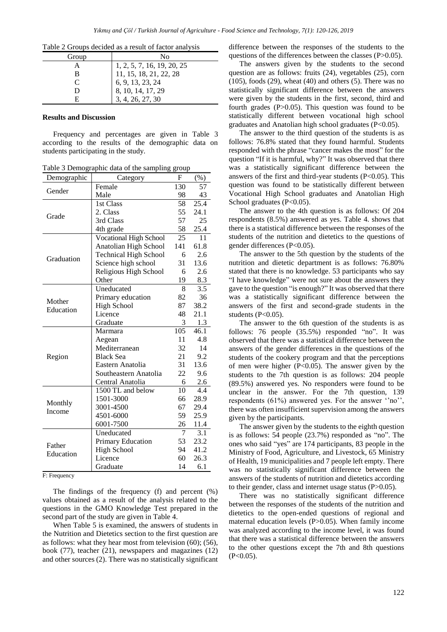| Table 2 Groups decided as a result of factor analysis |  |  |  |  |
|-------------------------------------------------------|--|--|--|--|
|                                                       |  |  |  |  |

| Group                       | No                         |
|-----------------------------|----------------------------|
|                             | 1, 2, 5, 7, 16, 19, 20, 25 |
| в                           | 11, 15, 18, 21, 22, 28     |
| $\mathcal{C}_{\mathcal{C}}$ | 6, 9, 13, 23, 24           |
| Ð                           | 8, 10, 14, 17, 29          |
| н                           | 3, 4, 26, 27, 30           |

#### **Results and Discussion**

Frequency and percentages are given in Table 3 according to the results of the demographic data on students participating in the study.

Table 3 Demographic data of the sampling group

| Demographic | Category                      | F   | (%)  |
|-------------|-------------------------------|-----|------|
| Gender      | Female                        | 130 | 57   |
|             | Male                          | 98  | 43   |
|             | 1st Class                     | 58  | 25.4 |
| Grade       | 2. Class                      | 55  | 24.1 |
|             | 3rd Class                     | 57  | 25   |
|             | 4th grade                     | 58  | 25.4 |
|             | <b>Vocational High School</b> | 25  | 11   |
|             | Anatolian High School         | 141 | 61.8 |
| Graduation  | <b>Technical High School</b>  | 6   | 2.6  |
|             | Science high school           | 31  | 13.6 |
|             | Religious High School         | 6   | 2.6  |
|             | Other                         | 19  | 8.3  |
|             | Uneducated                    | 8   | 3.5  |
| Mother      | Primary education             | 82  | 36   |
| Education   | <b>High School</b>            | 87  | 38.2 |
|             | Licence                       | 48  | 21.1 |
|             | Graduate                      | 3   | 1.3  |
|             | Marmara                       | 105 | 46.1 |
|             | Aegean                        | 11  | 4.8  |
|             | Mediterranean                 | 32  | 14   |
| Region      | <b>Black Sea</b>              | 21  | 9.2  |
|             | Eastern Anatolia              | 31  | 13.6 |
|             | Southeastern Anatolia         | 22  | 9.6  |
|             | Central Anatolia              | 6   | 2.6  |
|             | 1500 TL and below             | 10  | 4.4  |
| Monthly     | 1501-3000                     | 66  | 28.9 |
| Income      | 3001-4500                     | 67  | 29.4 |
|             | 4501-6000                     | 59  | 25.9 |
|             | 6001-7500                     | 26  | 11.4 |
|             | Uneducated                    | 7   | 3.1  |
| Father      | Primary Education             | 53  | 23.2 |
| Education   | <b>High School</b>            | 94  | 41.2 |
|             | Licence                       | 60  | 26.3 |
|             | Graduate                      | 14  | 6.1  |

F: Frequency

The findings of the frequency (f) and percent (%) values obtained as a result of the analysis related to the questions in the GMO Knowledge Test prepared in the second part of the study are given in Table 4.

When Table 5 is examined, the answers of students in the Nutrition and Dietetics section to the first question are as follows: what they hear most from television (60); (56), book (77), teacher (21), newspapers and magazines (12) and other sources (2). There was no statistically significant difference between the responses of the students to the questions of the differences between the classes (P>0.05).

The answers given by the students to the second question are as follows: fruits (24), vegetables (25), corn  $(105)$ , foods  $(29)$ , wheat  $(40)$  and others  $(5)$ . There was no statistically significant difference between the answers were given by the students in the first, second, third and fourth grades (P>0.05). This question was found to be statistically different between vocational high school graduates and Anatolian high school graduates  $(P<0.05)$ .

The answer to the third question of the students is as follows: 76.8% stated that they found harmful. Students responded with the phrase "cancer makes the most" for the question "If it is harmful, why?" It was observed that there was a statistically significant difference between the answers of the first and third-year students  $(P<0.05)$ . This question was found to be statistically different between Vocational High School graduates and Anatolian High School graduates  $(P<0.05)$ .

The answer to the 4th question is as follows: Of 204 respondents (8.5%) answered as yes. Table 4. shows that there is a statistical difference between the responses of the students of the nutrition and dietetics to the questions of gender differences (P<0.05).

The answer to the 5th question by the students of the nutrition and dietetic department is as follows: 76.80% stated that there is no knowledge. 53 participants who say "I have knowledge" were not sure about the answers they gave to the question "is enough?" It was observed that there was a statistically significant difference between the answers of the first and second-grade students in the students  $(P<0.05)$ .

The answer to the 6th question of the students is as follows: 76 people (35.5%) responded "no". It was observed that there was a statistical difference between the answers of the gender differences in the questions of the students of the cookery program and that the perceptions of men were higher  $(P<0.05)$ . The answer given by the students to the 7th question is as follows: 204 people (89.5%) answered yes. No responders were found to be unclear in the answer. For the 7th question, 139 respondents (61%) answered yes. For the answer ''no'', there was often insufficient supervision among the answers given by the participants.

The answer given by the students to the eighth question is as follows: 54 people (23.7%) responded as "no". The ones who said "yes" are 174 participants, 83 people in the Ministry of Food, Agriculture, and Livestock, 65 Ministry of Health, 19 municipalities and 7 people left empty. There was no statistically significant difference between the answers of the students of nutrition and dietetics according to their gender, class and internet usage status (P>0.05).

There was no statistically significant difference between the responses of the students of the nutrition and dietetics to the open-ended questions of regional and maternal education levels (P>0.05). When family income was analyzed according to the income level, it was found that there was a statistical difference between the answers to the other questions except the 7th and 8th questions  $(P<0.05)$ .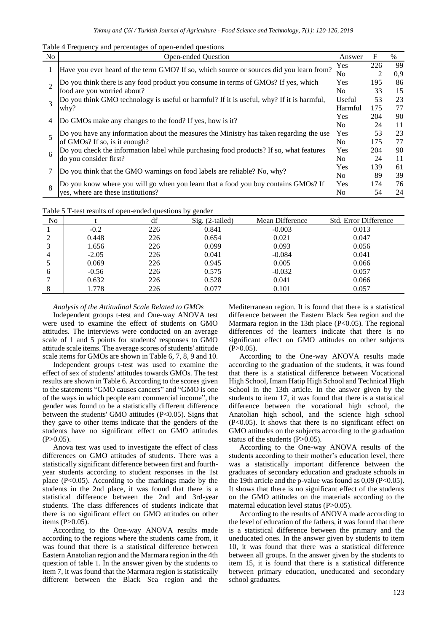Table 4 Frequency and percentages of open-ended questions

| <b>No</b>      | Open-ended Ouestion                                                                       | Answer         | F   | $\%$ |
|----------------|-------------------------------------------------------------------------------------------|----------------|-----|------|
|                | Have you ever heard of the term GMO? If so, which source or sources did you learn from?   | Yes            | 226 | 99   |
|                |                                                                                           | No             |     | 0.9  |
| $\mathfrak{D}$ | Do you think there is any food product you consume in terms of GMOs? If yes, which        | Yes            | 195 | 86   |
|                | food are you worried about?                                                               | N <sub>0</sub> | 33  | 15   |
| 3              | Do you think GMO technology is useful or harmful? If it is useful, why? If it is harmful, | Useful         | 53  | 23   |
|                | why?                                                                                      | Harmful        | 175 | 77   |
|                |                                                                                           | Yes            | 204 | 90   |
| 4              | Do GMOs make any changes to the food? If yes, how is it?                                  |                | 24  | 11   |
| 5              | Do you have any information about the measures the Ministry has taken regarding the use   | Yes            | 53  | 23   |
|                | of GMOs? If so, is it enough?                                                             | N <sub>0</sub> | 175 | 77   |
|                | Do you check the information label while purchasing food products? If so, what features   | Yes            | 204 | 90   |
| 6              | do you consider first?                                                                    | N <sub>0</sub> | 24  | 11   |
|                |                                                                                           | Yes            | 139 | 61   |
|                | Do you think that the GMO warnings on food labels are reliable? No, why?                  |                | 89  | 39   |
| 8              | Do you know where you will go when you learn that a food you buy contains GMOs? If        | Yes            | 174 | 76   |
|                | yes, where are these institutions?                                                        | No             | 54  | 24   |

Table 5 T-test results of open-ended questions by gender

| No |         | df  | Sig. (2-tailed) | Mean Difference | <b>Std. Error Difference</b> |
|----|---------|-----|-----------------|-----------------|------------------------------|
|    | $-0.2$  | 226 | 0.841           | $-0.003$        | 0.013                        |
| ↑  | 0.448   | 226 | 0.654           | 0.021           | 0.047                        |
|    | 1.656   | 226 | 0.099           | 0.093           | 0.056                        |
| 4  | $-2.05$ | 226 | 0.041           | $-0.084$        | 0.041                        |
|    | 0.069   | 226 | 0.945           | 0.005           | 0.066                        |
| 6  | $-0.56$ | 226 | 0.575           | $-0.032$        | 0.057                        |
|    | 0.632   | 226 | 0.528           | 0.041           | 0.066                        |
|    | .778    | 226 | 0.077           | 0.101           | 0.057                        |

#### *Analysis of the Attitudinal Scale Related to GMOs*

Independent groups t-test and One-way ANOVA test were used to examine the effect of students on GMO attitudes. The interviews were conducted on an average scale of 1 and 5 points for students' responses to GMO attitude scale items. The average scores of students' attitude scale items for GMOs are shown in Table 6, 7, 8, 9 and 10.

Independent groups t-test was used to examine the effect of sex of students' attitudes towards GMOs. The test results are shown in Table 6. According to the scores given to the statements "GMO causes cancers" and "GMO is one of the ways in which people earn commercial income", the gender was found to be a statistically different difference between the students' GMO attitudes (P<0.05). Signs that they gave to other items indicate that the genders of the students have no significant effect on GMO attitudes  $(P>0.05)$ .

Anova test was used to investigate the effect of class differences on GMO attitudes of students. There was a statistically significant difference between first and fourthyear students according to student responses in the 1st place (P<0.05). According to the markings made by the students in the 2nd place, it was found that there is a statistical difference between the 2nd and 3rd-year students. The class differences of students indicate that there is no significant effect on GMO attitudes on other items (P>0.05).

According to the One-way ANOVA results made according to the regions where the students came from, it was found that there is a statistical difference between Eastern Anatolian region and the Marmara region in the 4th question of table 1. In the answer given by the students to item 7, it was found that the Marmara region is statistically different between the Black Sea region and the Mediterranean region. It is found that there is a statistical difference between the Eastern Black Sea region and the Marmara region in the 13th place  $(P<0.05)$ . The regional differences of the learners indicate that there is no significant effect on GMO attitudes on other subjects  $(P>0.05)$ .

According to the One-way ANOVA results made according to the graduation of the students, it was found that there is a statistical difference between Vocational High School, Imam Hatip High School and Technical High School in the 13th article. In the answer given by the students to item 17, it was found that there is a statistical difference between the vocational high school, the Anatolian high school, and the science high school (P<0.05). It shows that there is no significant effect on GMO attitudes on the subjects according to the graduation status of the students (P>0.05).

According to the One-way ANOVA results of the students according to their mother's education level, there was a statistically important difference between the graduates of secondary education and graduate schools in the 19th article and the p-value was found as  $0.09$  (P<0.05). It shows that there is no significant effect of the students on the GMO attitudes on the materials according to the maternal education level status (P>0.05).

According to the results of ANOVA made according to the level of education of the fathers, it was found that there is a statistical difference between the primary and the uneducated ones. In the answer given by students to item 10, it was found that there was a statistical difference between all groups. In the answer given by the students to item 15, it is found that there is a statistical difference between primary education, uneducated and secondary school graduates.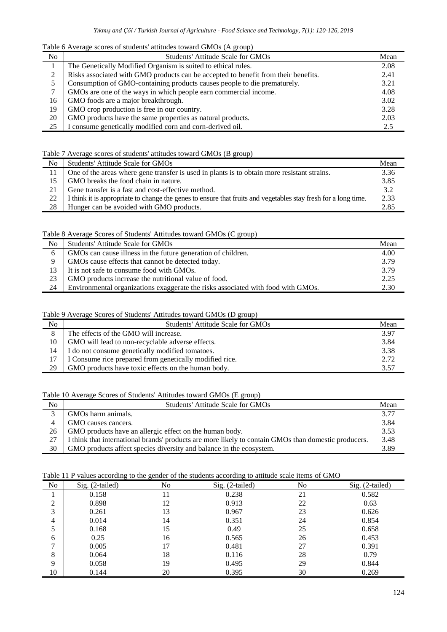Table 6 Average scores of students' attitudes toward GMOs (A group)

| No | Students' Attitude Scale for GMOs                                                  | Mean |
|----|------------------------------------------------------------------------------------|------|
|    | The Genetically Modified Organism is suited to ethical rules.                      | 2.08 |
| 2  | Risks associated with GMO products can be accepted to benefit from their benefits. | 2.41 |
|    | Consumption of GMO-containing products causes people to die prematurely.           | 3.21 |
| 7  | GMOs are one of the ways in which people earn commercial income.                   | 4.08 |
| 16 | GMO foods are a major breakthrough.                                                | 3.02 |
| 19 | GMO crop production is free in our country.                                        | 3.28 |
| 20 | GMO products have the same properties as natural products.                         | 2.03 |
| 25 | consume genetically modified corn and corn-derived oil.                            | 2.5  |

## Table 7 Average scores of students' attitudes toward GMOs (B group)

| Mean |
|------|
| 3.36 |
| 3.85 |
| 3.2  |
| 2.33 |
| 2.85 |
|      |

# Table 8 Average Scores of Students' Attitudes toward GMOs (C group)

| No | Students' Attitude Scale for GMOs                                                | Mean |
|----|----------------------------------------------------------------------------------|------|
| 6  | GMOs can cause illness in the future generation of children.                     | 4.00 |
| Q  | GMOs cause effects that cannot be detected today.                                | 3.79 |
| 13 | It is not safe to consume food with GMOs.                                        | 3.79 |
| 23 | GMO products increase the nutritional value of food.                             | 2.25 |
| 24 | Environmental organizations exaggerate the risks associated with food with GMOs. | 2.30 |

### Table 9 Average Scores of Students' Attitudes toward GMOs (D group)

| No             | Students' Attitude Scale for GMOs                       | Mean |
|----------------|---------------------------------------------------------|------|
| $\overline{8}$ | The effects of the GMO will increase.                   | 3.97 |
| 10             | GMO will lead to non-recyclable adverse effects.        | 3.84 |
| 14             | I do not consume genetically modified tomatoes.         | 3.38 |
|                | I Consume rice prepared from genetically modified rice. | 2.72 |
| 29             | GMO products have toxic effects on the human body.      | 3.57 |

# Table 10 Average Scores of Students' Attitudes toward GMOs (E group)

| No     | Students' Attitude Scale for GMOs                                                                    | Mean |
|--------|------------------------------------------------------------------------------------------------------|------|
| $\sim$ | GMOs harm animals.                                                                                   | 3.77 |
|        | GMO causes cancers.                                                                                  | 3.84 |
| 26     | GMO products have an allergic effect on the human body.                                              | 3.53 |
| 27     | I think that international brands' products are more likely to contain GMOs than domestic producers. | 3.48 |
| 30     | GMO products affect species diversity and balance in the ecosystem.                                  | 3.89 |

# Table 11 P values according to the gender of the students according to attitude scale items of GMO

| N <sub>o</sub> | $Sig. (2-tailed)$ | No | Sig. (2-tailed) | No | Sig. (2-tailed) |
|----------------|-------------------|----|-----------------|----|-----------------|
|                | 0.158             |    | 0.238           | 21 | 0.582           |
| 2              | 0.898             | 12 | 0.913           | 22 | 0.63            |
| 3              | 0.261             | 13 | 0.967           | 23 | 0.626           |
| 4              | 0.014             | 14 | 0.351           | 24 | 0.854           |
| 5              | 0.168             | 15 | 0.49            | 25 | 0.658           |
| 6              | 0.25              | 16 | 0.565           | 26 | 0.453           |
| $\mathbf{r}$   | 0.005             | 17 | 0.481           | 27 | 0.391           |
| 8              | 0.064             | 18 | 0.116           | 28 | 0.79            |
| $\mathbf Q$    | 0.058             | 19 | 0.495           | 29 | 0.844           |
| 10             | 0.144             | 20 | 0.395           | 30 | 0.269           |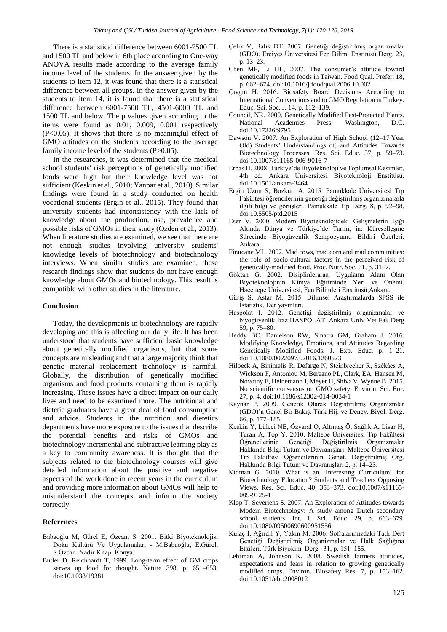There is a statistical difference between 6001-7500 TL and 1500 TL and below in 6th place according to One-way ANOVA results made according to the average family income level of the students. In the answer given by the students to item 12, it was found that there is a statistical difference between all groups. In the answer given by the students to item 14, it is found that there is a statistical difference between 6001-7500 TL, 4501-6000 TL and 1500 TL and below. The p values given according to the items were found as 0.01, 0.009, 0.001 respectively (P<0.05). It shows that there is no meaningful effect of GMO attitudes on the students according to the average family income level of the students (P>0.05).

In the researches, it was determined that the medical school students' risk perceptions of genetically modified foods were high but their knowledge level was not sufficient (Keskin et al., 2010; Yanpar et al., 2010). Similar findings were found in a study conducted on health vocational students (Ergin et al., 2015). They found that university students had inconsistency with the lack of knowledge about the production, use, prevalence and possible risks of GMOs in their study (Özden et al., 2013). When literature studies are examined, we see that there are not enough studies involving university students' knowledge levels of biotechnology and biotechnology interviews. When similar studies are examined, these research findings show that students do not have enough knowledge about GMOs and biotechnology. This result is compatible with other studies in the literature.

#### **Conclusion**

Today, the developments in biotechnology are rapidly developing and this is affecting our daily life. It has been understood that students have sufficient basic knowledge about genetically modified organisms, but that some concepts are misleading and that a large majority think that genetic material replacement technology is harmful. Globally, the distribution of genetically modified organisms and food products containing them is rapidly increasing. These issues have a direct impact on our daily lives and need to be examined more. The nutritional and dietetic graduates have a great deal of food consumption and advice. Students in the nutrition and dietetics departments have more exposure to the issues that describe the potential benefits and risks of GMOs and biotechnology incremental and subtractive learning play as a key to community awareness. It is thought that the subjects related to the biotechnology courses will give detailed information about the positive and negative aspects of the work done in recent years in the curriculum and providing more information about GMOs will help to misunderstand the concepts and inform the society correctly.

#### **References**

- Babaoğlu M, Gürel E, Özcan, S. 2001. Bitki Biyoteknolojisi Doku Kültürü Ve Uygulamaları - M.Babaoğlu, E.Gürel, S.Özcan. Nadir Kitap. Konya.
- Butler D, Reichhardt T, 1999. Long-term effect of GM crops serves up food for thought. Nature 398, p. 651–653. doi:10.1038/19381
- Çelik V, Balık DT. 2007. Genetiği değiştirilmiş organizmalar (GDO). Erciyes Üniversitesi Fen Bilim. Enstitüsü Derg. 23, p. 13–23.
- Chen MF, Li HL, 2007. The consumer's attitude toward genetically modified foods in Taiwan. Food Qual. Prefer. 18, p. 662–674. doi:10.1016/j.foodqual.2006.10.002
- Çıvgın H. 2016. Biosafety Board Decisions According to International Conventions and to GMO Regulation in Turkey. Educ. Sci. Soc. J. 14, p. 112–139.
- Council, NR. 2000. Genetically Modified Pest-Protected Plants. National Academies Press, Washington, D.C. doi:10.17226/9795
- Dawson V. 2007. An Exploration of High School (12–17 Year Old) Students' Understandings of, and Attitudes Towards Biotechnology Processes. Res. Sci. Educ. 37, p. 59–73. doi:10.1007/s11165-006-9016-7
- Erbaş H. 2008. Türkiye'de Biyoteknoloji ve Toplumsal Kesimler, 4th ed. Ankara Üniversitesi Biyoteknoloji Enstitüsü. doi:10.1501/ankara-3464
- Ergin Uzun S, Bozkurt A. 2015. Pamukkale Üniversitesi Tıp Fakültesi öğrencilerinin genetiği değiştirilmiş organizmalarla ilgili bilgi ve görüşleri. Pamukkale Tıp Derg. 8, p. 92–98. doi:10.5505/ptd.2015
- Eser V. 2000. Modern Biyoteknolojideki Gelişmelerin Işığı Altında Dünya ve Türkiye'de Tarım, in: Küreselleşme Sürecinde Biyogüvenlik Sempozyumu Bildiri Özetleri. Ankara.
- Finucane ML. 2002. Mad cows, mad corn and mad communities: the role of socio-cultural factors in the perceived risk of genetically-modified food. Proc. Nutr. Soc. 61, p. 31–7.
- Göktan G. 2002. Disiplinlerarası Uygulama Alanı Olan Biyoteknolojinin Kimya Eğitiminde Yeri ve Önemi. Hacettepe Üniversitesi, Fen Bilimleri Enstitüsü,Ankara.
- Güriş S, Astar M. 2015. Bilimsel Araştırmalarda SPSS ile İstatistik. Der yayınları.
- Haspolat I. 2012. Genetiği değiştirilmiş organizmalar ve biyogüvenlik Iraz HASPOLAT. Ankara Üniv Vet Fak Derg 59, p. 75–80.
- Heddy BC, Danielson RW, Sinatra GM, Graham J. 2016. Modifying Knowledge, Emotions, and Attitudes Regarding Genetically Modified Foods. J. Exp. Educ. p. 1–21. doi:10.1080/00220973.2016.1260523
- Hilbeck A, Binimelis R, Defarge N, Steinbrecher R, Székács A, Wickson F, Antoniou M, Bereano PL, Clark, EA, Hansen M, Novotny E, Heinemann J, Meyer H, Shiva V, Wynne B. 2015. No scientific consensus on GMO safety. Environ. Sci. Eur. 27, p. 4. doi:10.1186/s12302-014-0034-1
- Kaynar P. 2009. Genetik Olarak Değiştirilmiş Organizmlar (GDO)'a Genel Bir Bakış. Türk Hij. ve Deney. Biyol. Derg. 66, p. 177–185.
- Keskin Y, Lüleci NE, Özyaral O, Altıntaş Ö, Sağlık A, Lisar H, Turan A, Top Y. 2010. Maltepe Üniversitesi Tıp Fakültesi Öğrencilerinin Genetiği Değiştirilmiş Organizmalar Hakkında Bilgi Tutum ve Davranışları. Maltepe Üniversitesi Tıp Fakültesi Öğrencilerinin Genet. Değiştirilmiş Org. Hakkında Bilgi Tutum ve Davranışları 2, p. 14–23.
- Kidman G. 2010. What is an 'Interesting Curriculum' for Biotechnology Education? Students and Teachers Opposing Views. Res. Sci. Educ. 40, 353–373. doi:10.1007/s11165- 009-9125-1
- Klop T, Severiens S. 2007. An Exploration of Attitudes towards Modern Biotechnology: A study among Dutch secondary school students. Int. J. Sci. Educ. 29, p. 663–679. doi:10.1080/09500690600951556
- Kulaç İ, Ağırdil Y, Yakın M. 2006. Sofralarımızdaki Tatlı Dert Genetiği Değiştirilmiş Organizmalar ve Halk Sağlığına Etkileri. Türk Biyokim. Derg. 31, p. 151–155.
- Lehrman A, Johnson K. 2008. Swedish farmers attitudes, expectations and fears in relation to growing genetically modified crops. Environ. Biosafety Res. 7, p. 153–162. doi:10.1051/ebr:2008012